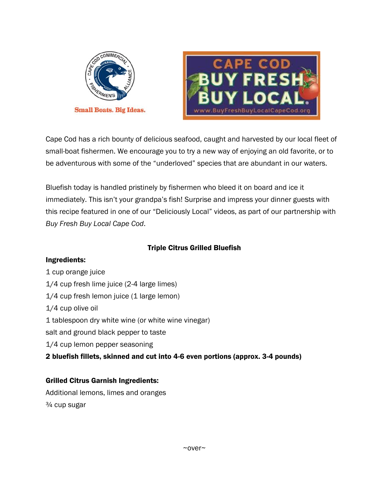



Cape Cod has a rich bounty of delicious seafood, caught and harvested by our local fleet of small-boat fishermen. We encourage you to try a new way of enjoying an old favorite, or to be adventurous with some of the "underloved" species that are abundant in our waters.

Bluefish today is handled pristinely by fishermen who bleed it on board and ice it immediately. This isn't your grandpa's fish! Surprise and impress your dinner guests with this recipe featured in one of our "Deliciously Local" videos, as part of our partnership with *Buy Fresh Buy Local Cape Cod*.

## Triple Citrus Grilled Bluefish

Ingredients: 1 cup orange juice 1/4 cup fresh lime juice (2-4 large limes) 1/4 cup fresh lemon juice (1 large lemon) 1/4 cup olive oil 1 tablespoon dry white wine (or white wine vinegar) salt and ground black pepper to taste 1/4 cup lemon pepper seasoning 2 bluefish fillets, skinned and cut into 4-6 even portions (approx. 3-4 pounds)

## Grilled Citrus Garnish Ingredients:

Additional lemons, limes and oranges ¾ cup sugar